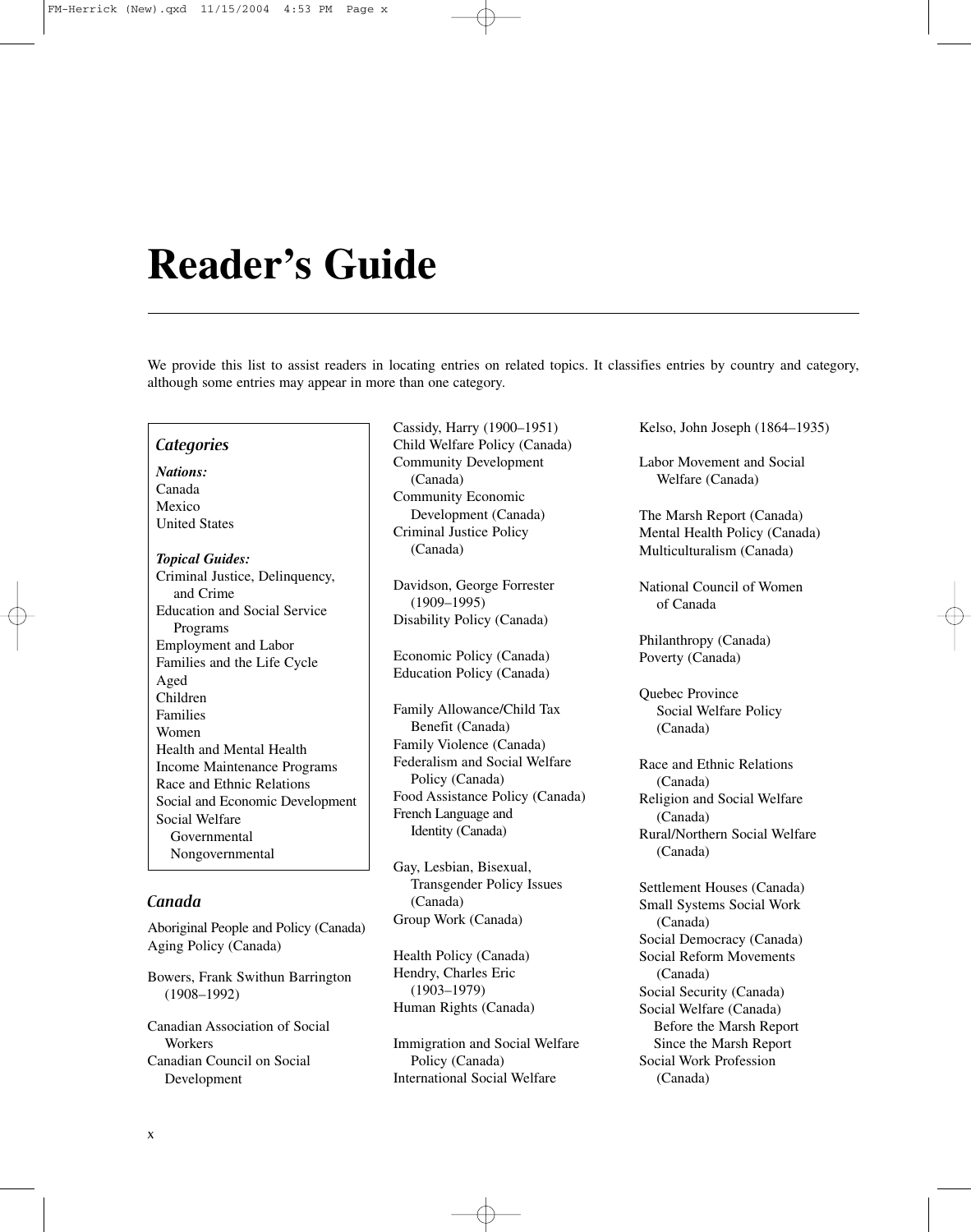# **Reader's Guide**

We provide this list to assist readers in locating entries on related topics. It classifies entries by country and category, although some entries may appear in more than one category.

## *Categories*

*Nations:* Canada Mexico United States

#### *Topical Guides:*

Criminal Justice, Delinquency, and Crime Education and Social Service Programs Employment and Labor Families and the Life Cycle Aged Children Families Women Health and Mental Health Income Maintenance Programs Race and Ethnic Relations Social and Economic Development Social Welfare Governmental Nongovernmental

## *Canada*

Aboriginal People and Policy (Canada) Aging Policy (Canada)

Bowers, Frank Swithun Barrington (1908–1992)

Canadian Association of Social Workers Canadian Council on Social Development

Cassidy, Harry (1900–1951) Child Welfare Policy (Canada) Community Development (Canada) Community Economic Development (Canada) Criminal Justice Policy (Canada)

Davidson, George Forrester (1909–1995) Disability Policy (Canada)

Economic Policy (Canada) Education Policy (Canada)

Family Allowance/Child Tax Benefit (Canada) Family Violence (Canada) Federalism and Social Welfare Policy (Canada) Food Assistance Policy (Canada) French Language and Identity (Canada)

Gay, Lesbian, Bisexual, Transgender Policy Issues (Canada) Group Work (Canada)

Health Policy (Canada) Hendry, Charles Eric (1903–1979) Human Rights (Canada)

Immigration and Social Welfare Policy (Canada) International Social Welfare

Kelso, John Joseph (1864–1935)

Labor Movement and Social Welfare (Canada)

The Marsh Report (Canada) Mental Health Policy (Canada) Multiculturalism (Canada)

National Council of Women of Canada

Philanthropy (Canada) Poverty (Canada)

Quebec Province Social Welfare Policy (Canada)

Race and Ethnic Relations (Canada) Religion and Social Welfare (Canada) Rural/Northern Social Welfare (Canada)

Settlement Houses (Canada) Small Systems Social Work (Canada) Social Democracy (Canada) Social Reform Movements (Canada) Social Security (Canada) Social Welfare (Canada) Before the Marsh Report Since the Marsh Report Social Work Profession (Canada)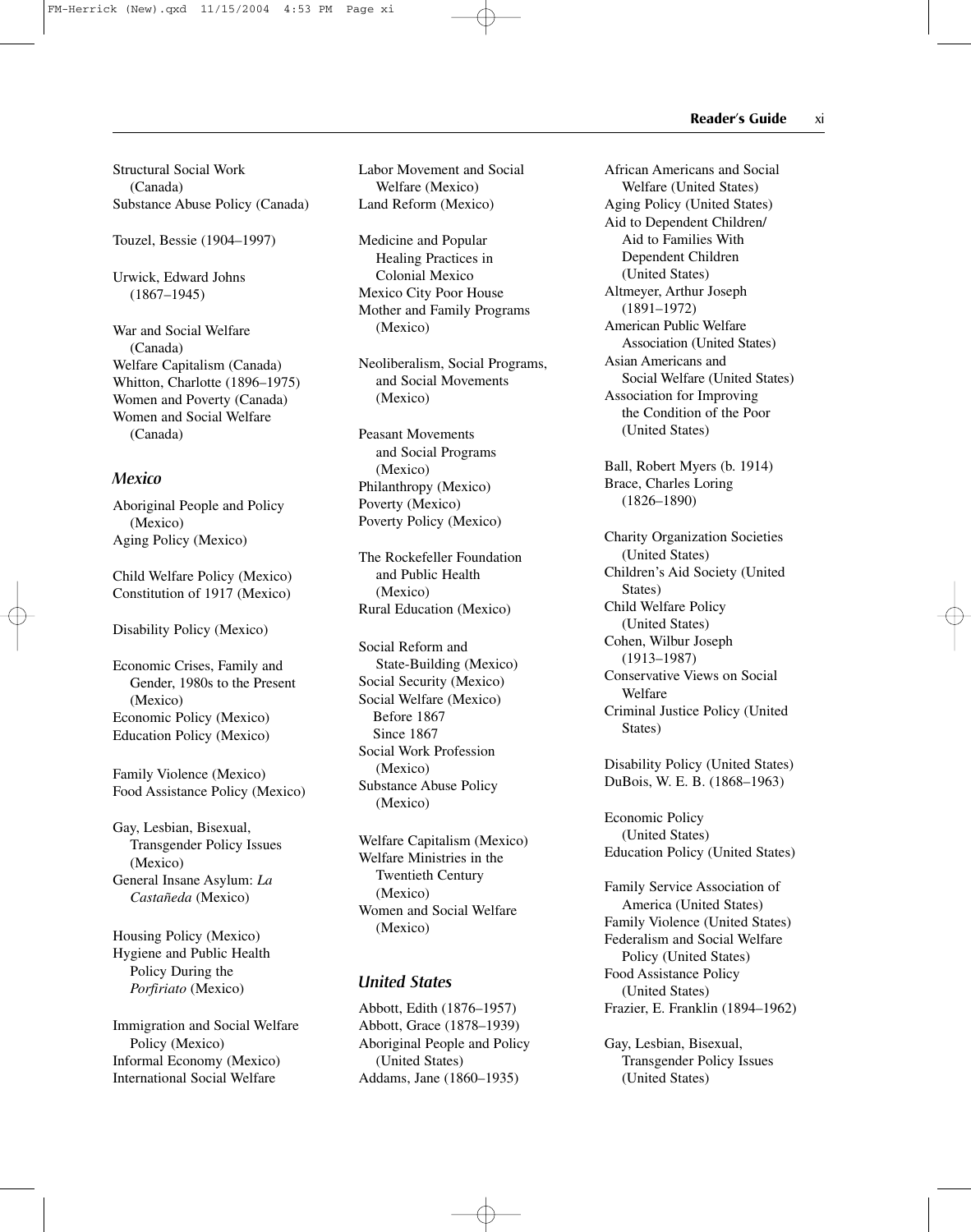Structural Social Work (Canada) Substance Abuse Policy (Canada)

Touzel, Bessie (1904–1997)

Urwick, Edward Johns (1867–1945)

War and Social Welfare (Canada) Welfare Capitalism (Canada) Whitton, Charlotte (1896–1975) Women and Poverty (Canada) Women and Social Welfare (Canada)

## *Mexico*

Aboriginal People and Policy (Mexico) Aging Policy (Mexico)

Child Welfare Policy (Mexico) Constitution of 1917 (Mexico)

Disability Policy (Mexico)

Economic Crises, Family and Gender, 1980s to the Present (Mexico) Economic Policy (Mexico) Education Policy (Mexico)

Family Violence (Mexico) Food Assistance Policy (Mexico)

Gay, Lesbian, Bisexual, Transgender Policy Issues (Mexico) General Insane Asylum: *La Castañeda* (Mexico)

Housing Policy (Mexico) Hygiene and Public Health Policy During the *Porfiriato* (Mexico)

Immigration and Social Welfare Policy (Mexico) Informal Economy (Mexico) International Social Welfare

Labor Movement and Social Welfare (Mexico) Land Reform (Mexico)

Medicine and Popular Healing Practices in Colonial Mexico Mexico City Poor House Mother and Family Programs (Mexico)

Neoliberalism, Social Programs, and Social Movements (Mexico)

Peasant Movements and Social Programs (Mexico) Philanthropy (Mexico) Poverty (Mexico) Poverty Policy (Mexico)

The Rockefeller Foundation and Public Health (Mexico) Rural Education (Mexico)

Social Reform and State-Building (Mexico) Social Security (Mexico) Social Welfare (Mexico) Before 1867 Since 1867 Social Work Profession (Mexico) Substance Abuse Policy (Mexico)

Welfare Capitalism (Mexico) Welfare Ministries in the Twentieth Century (Mexico) Women and Social Welfare (Mexico)

#### *United States*

Abbott, Edith (1876–1957) Abbott, Grace (1878–1939) Aboriginal People and Policy (United States) Addams, Jane (1860–1935)

African Americans and Social Welfare (United States) Aging Policy (United States) Aid to Dependent Children/ Aid to Families With Dependent Children (United States) Altmeyer, Arthur Joseph (1891–1972) American Public Welfare Association (United States) Asian Americans and Social Welfare (United States) Association for Improving the Condition of the Poor (United States)

Ball, Robert Myers (b. 1914) Brace, Charles Loring (1826–1890)

Charity Organization Societies (United States) Children's Aid Society (United States) Child Welfare Policy (United States) Cohen, Wilbur Joseph (1913–1987) Conservative Views on Social Welfare Criminal Justice Policy (United States)

Disability Policy (United States) DuBois, W. E. B. (1868–1963)

Economic Policy (United States) Education Policy (United States)

Family Service Association of America (United States) Family Violence (United States) Federalism and Social Welfare Policy (United States) Food Assistance Policy (United States) Frazier, E. Franklin (1894–1962)

Gay, Lesbian, Bisexual, Transgender Policy Issues (United States)

#### **Reader's Guide** xi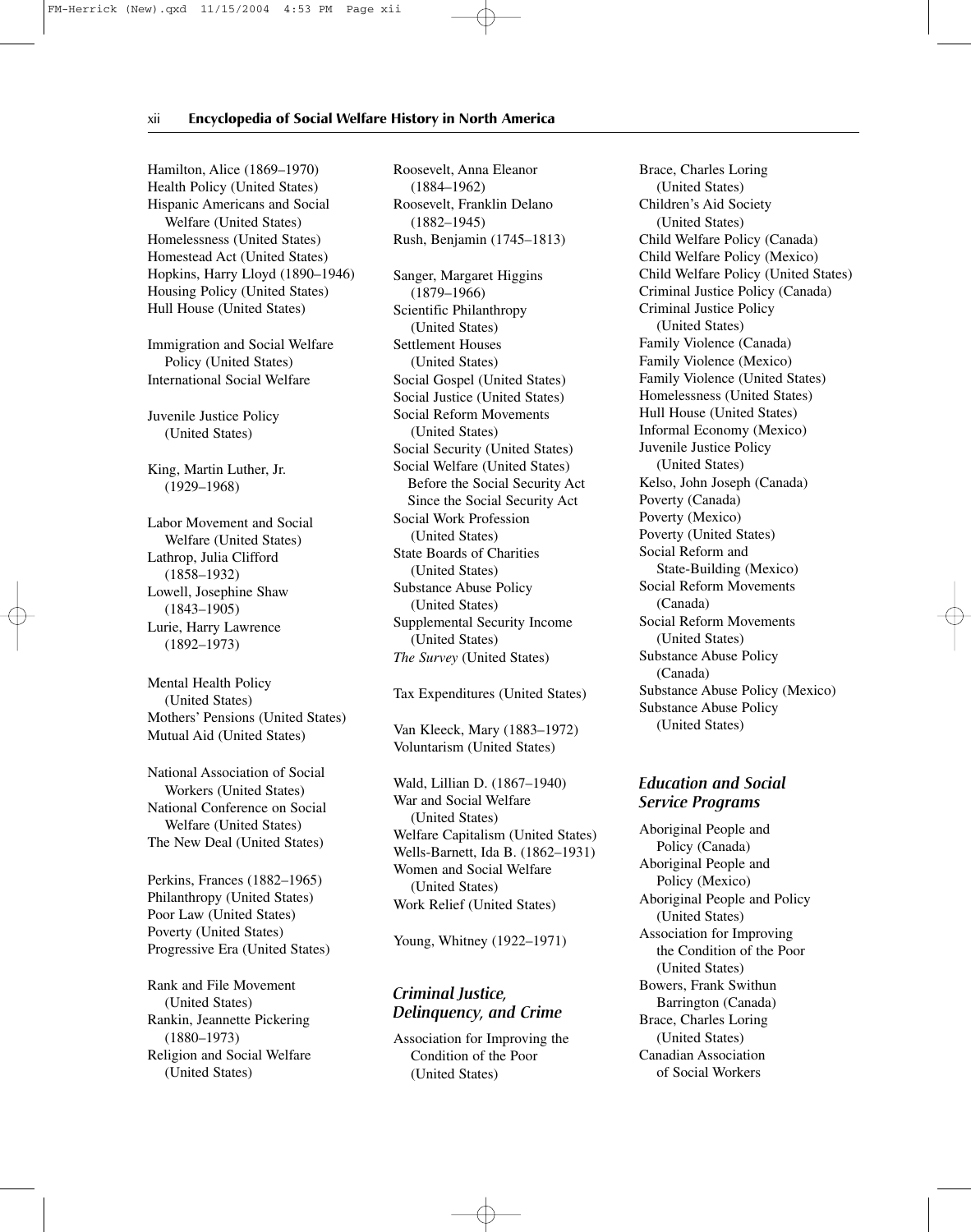#### FM-Herrick (New).qxd 11/15/2004 4:53 PM Page xii

#### xii**———Encyclopedia of Social Welfare History in North America**

Hamilton, Alice (1869–1970) Health Policy (United States) Hispanic Americans and Social Welfare (United States) Homelessness (United States) Homestead Act (United States) Hopkins, Harry Lloyd (1890–1946) Housing Policy (United States) Hull House (United States)

Immigration and Social Welfare Policy (United States) International Social Welfare

Juvenile Justice Policy (United States)

King, Martin Luther, Jr. (1929–1968)

Labor Movement and Social Welfare (United States) Lathrop, Julia Clifford (1858–1932) Lowell, Josephine Shaw (1843–1905) Lurie, Harry Lawrence (1892–1973)

Mental Health Policy (United States) Mothers' Pensions (United States) Mutual Aid (United States)

National Association of Social Workers (United States) National Conference on Social Welfare (United States) The New Deal (United States)

Perkins, Frances (1882–1965) Philanthropy (United States) Poor Law (United States) Poverty (United States) Progressive Era (United States)

Rank and File Movement (United States) Rankin, Jeannette Pickering (1880–1973) Religion and Social Welfare (United States)

Roosevelt, Anna Eleanor (1884–1962) Roosevelt, Franklin Delano (1882–1945) Rush, Benjamin (1745–1813)

Sanger, Margaret Higgins (1879–1966) Scientific Philanthropy (United States) Settlement Houses (United States) Social Gospel (United States) Social Justice (United States) Social Reform Movements (United States) Social Security (United States) Social Welfare (United States) Before the Social Security Act Since the Social Security Act Social Work Profession (United States) State Boards of Charities (United States) Substance Abuse Policy (United States) Supplemental Security Income (United States) *The Survey* (United States)

Tax Expenditures (United States)

Van Kleeck, Mary (1883–1972) Voluntarism (United States)

Wald, Lillian D. (1867–1940) War and Social Welfare (United States) Welfare Capitalism (United States) Wells-Barnett, Ida B. (1862–1931) Women and Social Welfare (United States) Work Relief (United States)

Young, Whitney (1922–1971)

## *Criminal Justice, Delinquency, and Crime*

Association for Improving the Condition of the Poor (United States)

Brace, Charles Loring (United States) Children's Aid Society (United States) Child Welfare Policy (Canada) Child Welfare Policy (Mexico) Child Welfare Policy (United States) Criminal Justice Policy (Canada) Criminal Justice Policy (United States) Family Violence (Canada) Family Violence (Mexico) Family Violence (United States) Homelessness (United States) Hull House (United States) Informal Economy (Mexico) Juvenile Justice Policy (United States) Kelso, John Joseph (Canada) Poverty (Canada) Poverty (Mexico) Poverty (United States) Social Reform and State-Building (Mexico) Social Reform Movements (Canada) Social Reform Movements (United States) Substance Abuse Policy (Canada) Substance Abuse Policy (Mexico) Substance Abuse Policy (United States)

# *Education and Social Service Programs*

Aboriginal People and Policy (Canada) Aboriginal People and Policy (Mexico) Aboriginal People and Policy (United States) Association for Improving the Condition of the Poor (United States) Bowers, Frank Swithun Barrington (Canada) Brace, Charles Loring (United States) Canadian Association of Social Workers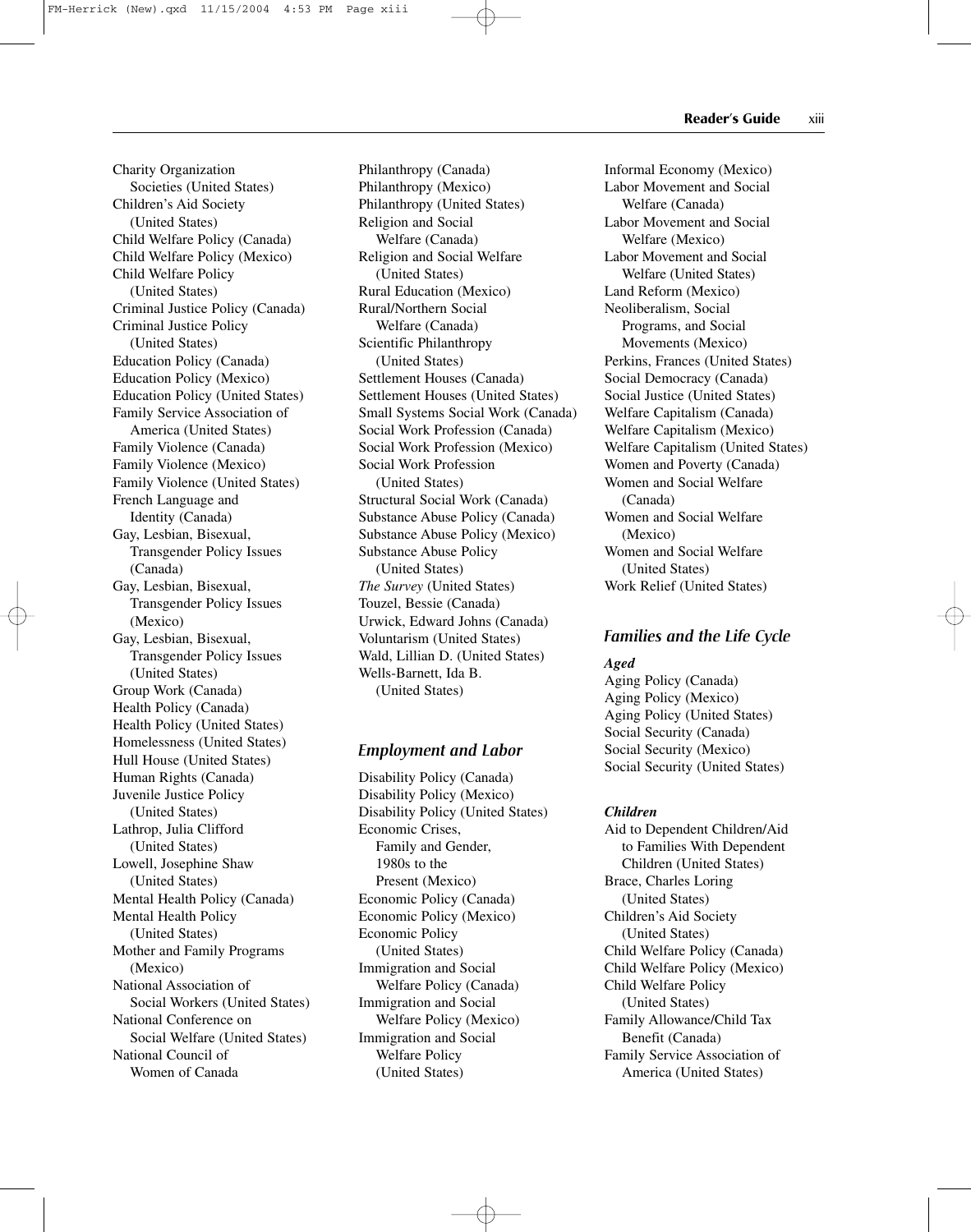**Reader's Guide** xiii

Charity Organization Societies (United States) Children's Aid Society (United States) Child Welfare Policy (Canada) Child Welfare Policy (Mexico) Child Welfare Policy (United States) Criminal Justice Policy (Canada) Criminal Justice Policy (United States) Education Policy (Canada) Education Policy (Mexico) Education Policy (United States) Family Service Association of America (United States) Family Violence (Canada) Family Violence (Mexico) Family Violence (United States) French Language and Identity (Canada) Gay, Lesbian, Bisexual, Transgender Policy Issues (Canada) Gay, Lesbian, Bisexual, Transgender Policy Issues (Mexico) Gay, Lesbian, Bisexual, Transgender Policy Issues (United States) Group Work (Canada) Health Policy (Canada) Health Policy (United States) Homelessness (United States) Hull House (United States) Human Rights (Canada) Juvenile Justice Policy (United States) Lathrop, Julia Clifford (United States) Lowell, Josephine Shaw (United States) Mental Health Policy (Canada) Mental Health Policy (United States) Mother and Family Programs (Mexico) National Association of Social Workers (United States) National Conference on Social Welfare (United States) National Council of Women of Canada

Philanthropy (Canada) Philanthropy (Mexico) Philanthropy (United States) Religion and Social Welfare (Canada) Religion and Social Welfare (United States) Rural Education (Mexico) Rural/Northern Social Welfare (Canada) Scientific Philanthropy (United States) Settlement Houses (Canada) Settlement Houses (United States) Small Systems Social Work (Canada) Social Work Profession (Canada) Social Work Profession (Mexico) Social Work Profession (United States) Structural Social Work (Canada) Substance Abuse Policy (Canada) Substance Abuse Policy (Mexico) Substance Abuse Policy (United States) *The Survey* (United States) Touzel, Bessie (Canada) Urwick, Edward Johns (Canada) Voluntarism (United States) Wald, Lillian D. (United States) Wells-Barnett, Ida B. (United States)

### *Employment and Labor*

Disability Policy (Canada) Disability Policy (Mexico) Disability Policy (United States) Economic Crises, Family and Gender, 1980s to the Present (Mexico) Economic Policy (Canada) Economic Policy (Mexico) Economic Policy (United States) Immigration and Social Welfare Policy (Canada) Immigration and Social Welfare Policy (Mexico) Immigration and Social Welfare Policy (United States)

Informal Economy (Mexico) Labor Movement and Social Welfare (Canada) Labor Movement and Social Welfare (Mexico) Labor Movement and Social Welfare (United States) Land Reform (Mexico) Neoliberalism, Social Programs, and Social Movements (Mexico) Perkins, Frances (United States) Social Democracy (Canada) Social Justice (United States) Welfare Capitalism (Canada) Welfare Capitalism (Mexico) Welfare Capitalism (United States) Women and Poverty (Canada) Women and Social Welfare (Canada) Women and Social Welfare (Mexico) Women and Social Welfare (United States) Work Relief (United States)

# *Families and the Life Cycle*

#### *Aged*

Aging Policy (Canada) Aging Policy (Mexico) Aging Policy (United States) Social Security (Canada) Social Security (Mexico) Social Security (United States)

#### *Children*

Aid to Dependent Children/Aid to Families With Dependent Children (United States) Brace, Charles Loring (United States) Children's Aid Society (United States) Child Welfare Policy (Canada) Child Welfare Policy (Mexico) Child Welfare Policy (United States) Family Allowance/Child Tax Benefit (Canada) Family Service Association of America (United States)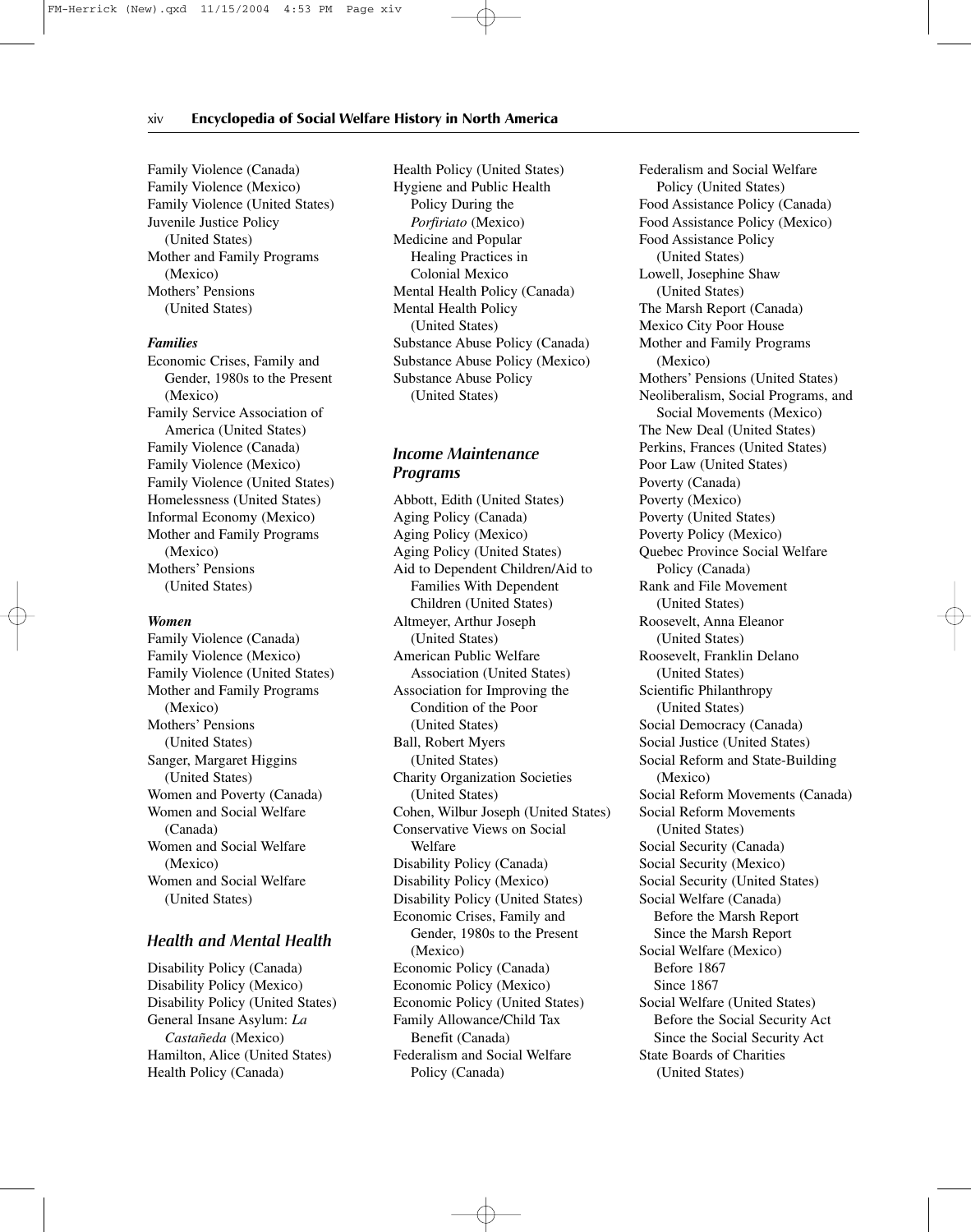#### xiv**———Encyclopedia of Social Welfare History in North America**

Family Violence (Canada) Family Violence (Mexico) Family Violence (United States) Juvenile Justice Policy (United States) Mother and Family Programs (Mexico) Mothers' Pensions (United States)

#### *Families*

Economic Crises, Family and Gender, 1980s to the Present (Mexico) Family Service Association of America (United States) Family Violence (Canada) Family Violence (Mexico) Family Violence (United States) Homelessness (United States) Informal Economy (Mexico) Mother and Family Programs (Mexico) Mothers' Pensions (United States)

#### *Women*

Family Violence (Canada) Family Violence (Mexico) Family Violence (United States) Mother and Family Programs (Mexico) Mothers' Pensions (United States) Sanger, Margaret Higgins (United States) Women and Poverty (Canada) Women and Social Welfare (Canada) Women and Social Welfare (Mexico) Women and Social Welfare (United States)

## *Health and Mental Health*

Disability Policy (Canada) Disability Policy (Mexico) Disability Policy (United States) General Insane Asylum: *La Castañeda* (Mexico) Hamilton, Alice (United States) Health Policy (Canada)

Health Policy (United States) Hygiene and Public Health Policy During the *Porfiriato* (Mexico) Medicine and Popular Healing Practices in Colonial Mexico Mental Health Policy (Canada) Mental Health Policy (United States) Substance Abuse Policy (Canada) Substance Abuse Policy (Mexico) Substance Abuse Policy (United States)

# *Income Maintenance Programs*

Abbott, Edith (United States) Aging Policy (Canada) Aging Policy (Mexico) Aging Policy (United States) Aid to Dependent Children/Aid to Families With Dependent Children (United States) Altmeyer, Arthur Joseph (United States) American Public Welfare Association (United States) Association for Improving the Condition of the Poor (United States) Ball, Robert Myers (United States) Charity Organization Societies (United States) Cohen, Wilbur Joseph (United States) Conservative Views on Social Welfare Disability Policy (Canada) Disability Policy (Mexico) Disability Policy (United States) Economic Crises, Family and Gender, 1980s to the Present (Mexico) Economic Policy (Canada) Economic Policy (Mexico) Economic Policy (United States) Family Allowance/Child Tax Benefit (Canada) Federalism and Social Welfare Policy (Canada)

Federalism and Social Welfare Policy (United States) Food Assistance Policy (Canada) Food Assistance Policy (Mexico) Food Assistance Policy (United States) Lowell, Josephine Shaw (United States) The Marsh Report (Canada) Mexico City Poor House Mother and Family Programs (Mexico) Mothers' Pensions (United States) Neoliberalism, Social Programs, and Social Movements (Mexico) The New Deal (United States) Perkins, Frances (United States) Poor Law (United States) Poverty (Canada) Poverty (Mexico) Poverty (United States) Poverty Policy (Mexico) Quebec Province Social Welfare Policy (Canada) Rank and File Movement (United States) Roosevelt, Anna Eleanor (United States) Roosevelt, Franklin Delano (United States) Scientific Philanthropy (United States) Social Democracy (Canada) Social Justice (United States) Social Reform and State-Building (Mexico) Social Reform Movements (Canada) Social Reform Movements (United States) Social Security (Canada) Social Security (Mexico) Social Security (United States) Social Welfare (Canada) Before the Marsh Report Since the Marsh Report Social Welfare (Mexico) Before 1867 Since 1867 Social Welfare (United States) Before the Social Security Act Since the Social Security Act State Boards of Charities (United States)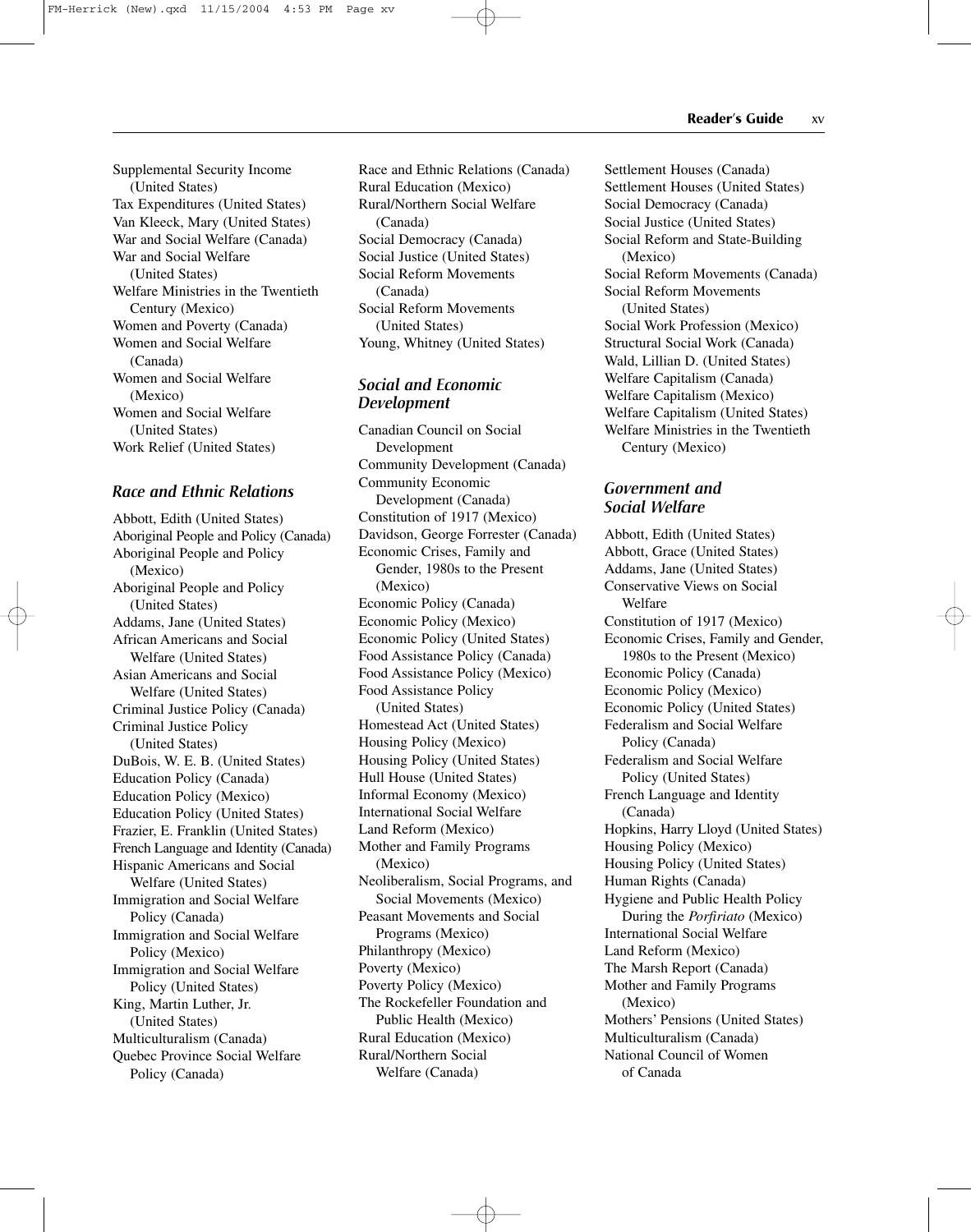Supplemental Security Income (United States) Tax Expenditures (United States) Van Kleeck, Mary (United States) War and Social Welfare (Canada) War and Social Welfare (United States) Welfare Ministries in the Twentieth Century (Mexico) Women and Poverty (Canada) Women and Social Welfare (Canada) Women and Social Welfare (Mexico) Women and Social Welfare (United States) Work Relief (United States)

## *Race and Ethnic Relations*

Abbott, Edith (United States) Aboriginal People and Policy (Canada) Aboriginal People and Policy (Mexico) Aboriginal People and Policy (United States) Addams, Jane (United States) African Americans and Social Welfare (United States) Asian Americans and Social Welfare (United States) Criminal Justice Policy (Canada) Criminal Justice Policy (United States) DuBois, W. E. B. (United States) Education Policy (Canada) Education Policy (Mexico) Education Policy (United States) Frazier, E. Franklin (United States) French Language and Identity (Canada) Hispanic Americans and Social Welfare (United States) Immigration and Social Welfare Policy (Canada) Immigration and Social Welfare Policy (Mexico) Immigration and Social Welfare Policy (United States) King, Martin Luther, Jr. (United States) Multiculturalism (Canada) Quebec Province Social Welfare Policy (Canada)

Race and Ethnic Relations (Canada) Rural Education (Mexico) Rural/Northern Social Welfare (Canada) Social Democracy (Canada) Social Justice (United States) Social Reform Movements (Canada) Social Reform Movements (United States) Young, Whitney (United States)

# *Social and Economic Development*

Canadian Council on Social Development Community Development (Canada) Community Economic Development (Canada) Constitution of 1917 (Mexico) Davidson, George Forrester (Canada) Economic Crises, Family and Gender, 1980s to the Present (Mexico) Economic Policy (Canada) Economic Policy (Mexico) Economic Policy (United States) Food Assistance Policy (Canada) Food Assistance Policy (Mexico) Food Assistance Policy (United States) Homestead Act (United States) Housing Policy (Mexico) Housing Policy (United States) Hull House (United States) Informal Economy (Mexico) International Social Welfare Land Reform (Mexico) Mother and Family Programs (Mexico) Neoliberalism, Social Programs, and Social Movements (Mexico) Peasant Movements and Social Programs (Mexico) Philanthropy (Mexico) Poverty (Mexico) Poverty Policy (Mexico) The Rockefeller Foundation and Public Health (Mexico) Rural Education (Mexico) Rural/Northern Social Welfare (Canada)

## Settlement Houses (Canada) Settlement Houses (United States) Social Democracy (Canada) Social Justice (United States) Social Reform and State-Building (Mexico) Social Reform Movements (Canada) Social Reform Movements (United States) Social Work Profession (Mexico) Structural Social Work (Canada) Wald, Lillian D. (United States) Welfare Capitalism (Canada) Welfare Capitalism (Mexico) Welfare Capitalism (United States) Welfare Ministries in the Twentieth

Century (Mexico)

# *Government and Social Welfare*

Abbott, Edith (United States) Abbott, Grace (United States) Addams, Jane (United States) Conservative Views on Social Welfare Constitution of 1917 (Mexico) Economic Crises, Family and Gender, 1980s to the Present (Mexico) Economic Policy (Canada) Economic Policy (Mexico) Economic Policy (United States) Federalism and Social Welfare Policy (Canada) Federalism and Social Welfare Policy (United States) French Language and Identity (Canada) Hopkins, Harry Lloyd (United States) Housing Policy (Mexico) Housing Policy (United States) Human Rights (Canada) Hygiene and Public Health Policy During the *Porfiriato* (Mexico) International Social Welfare Land Reform (Mexico) The Marsh Report (Canada) Mother and Family Programs (Mexico) Mothers' Pensions (United States) Multiculturalism (Canada) National Council of Women of Canada